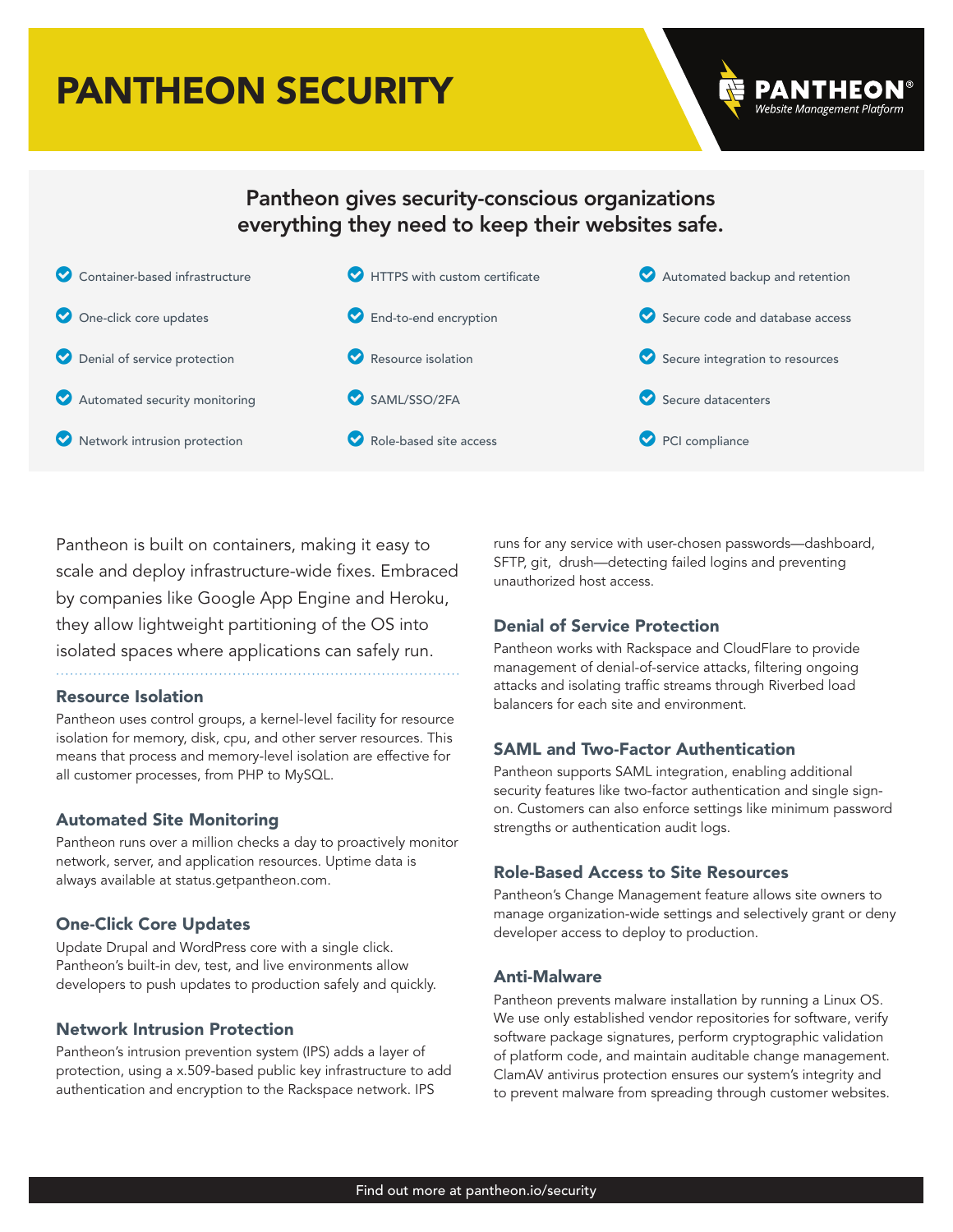# PANTHEON SECURITY



# Pantheon gives security-conscious organizations everything they need to keep their websites safe.



Pantheon is built on containers, making it easy to scale and deploy infrastructure-wide fixes. Embraced by companies like Google App Engine and Heroku, they allow lightweight partitioning of the OS into isolated spaces where applications can safely run.

## Resource Isolation

Pantheon uses control groups, a kernel-level facility for resource isolation for memory, disk, cpu, and other server resources. This means that process and memory-level isolation are effective for all customer processes, from PHP to MySQL.

# Automated Site Monitoring

Pantheon runs over a million checks a day to proactively monitor network, server, and application resources. Uptime data is always available at status.getpantheon.com.

# One-Click Core Updates

Update Drupal and WordPress core with a single click. Pantheon's built-in dev, test, and live environments allow developers to push updates to production safely and quickly.

## Network Intrusion Protection

Pantheon's intrusion prevention system (IPS) adds a layer of protection, using a x.509-based public key infrastructure to add authentication and encryption to the Rackspace network. IPS

runs for any service with user-chosen passwords—dashboard, SFTP, git, drush—detecting failed logins and preventing unauthorized host access.

# Denial of Service Protection

Pantheon works with Rackspace and CloudFlare to provide management of denial-of-service attacks, filtering ongoing attacks and isolating traffic streams through Riverbed load balancers for each site and environment.

# SAML and Two-Factor Authentication

Pantheon supports SAML integration, enabling additional security features like two-factor authentication and single signon. Customers can also enforce settings like minimum password strengths or authentication audit logs.

# Role-Based Access to Site Resources

Pantheon's Change Management feature allows site owners to manage organization-wide settings and selectively grant or deny developer access to deploy to production.

## Anti-Malware

Pantheon prevents malware installation by running a Linux OS. We use only established vendor repositories for software, verify software package signatures, perform cryptographic validation of platform code, and maintain auditable change management. ClamAV antivirus protection ensures our system's integrity and to prevent malware from spreading through customer websites.